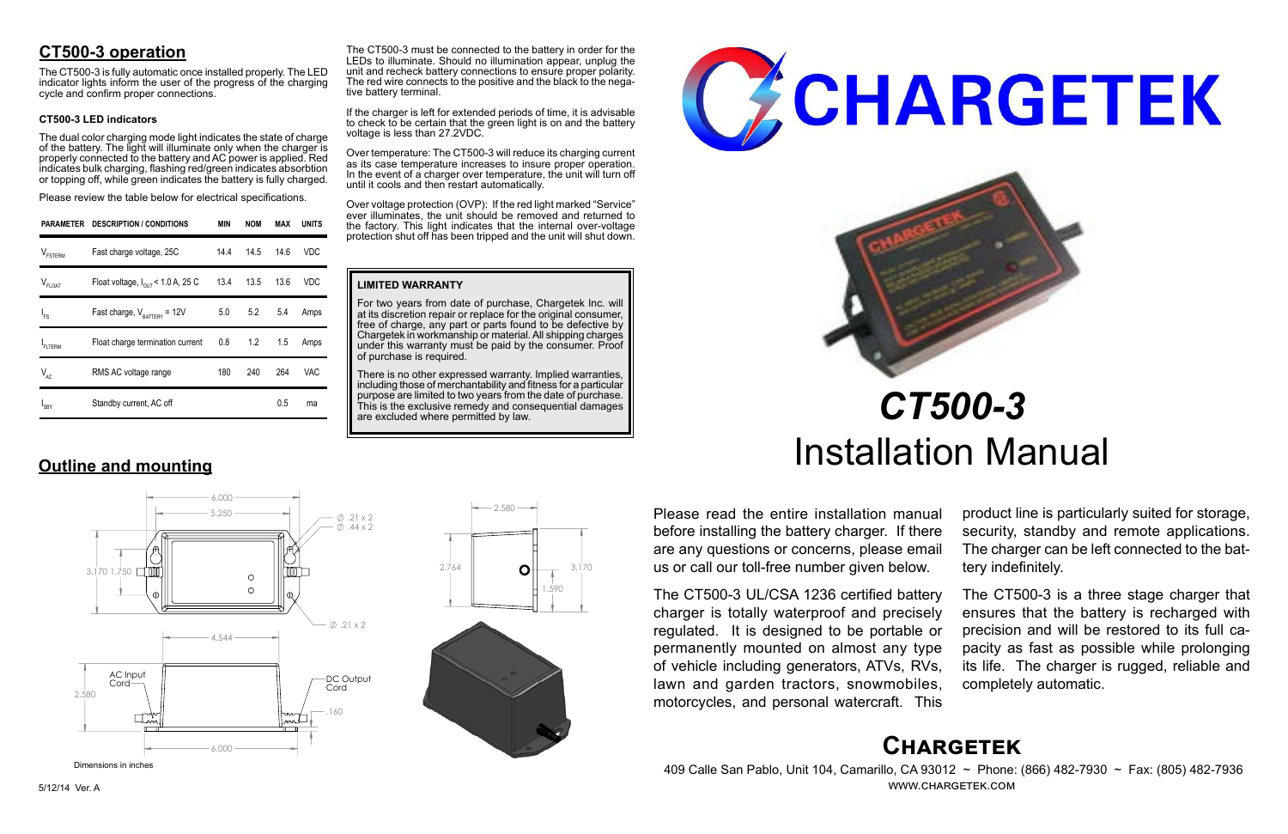# **Chargetek**

 409 Calle San Pablo, Unit 104, Camarillo, CA 93012 ~ Phone: (866) 482-7930 ~ Fax: (805) 482-7936 www.chargetek.com

# **CT500-3 operation**

The dual color charging mode light indicates the state of charge of the battery. The light will illuminate only when the charger is properly connected to the battery and AC power is applied. Red indicates bulk charging, flashing red/green indicates absorbtion or topping off, while green indicates the battery is fully charged.

The CT500-3 is fully automatic once installed properly. The LED indicator lights inform the user of the progress of the charging cycle and confirm proper connections.

### **CT500-3 LED indicators**

Please review the table below for electrical specifications.

Please read the entire installation manual before installing the battery charger. If there are any questions or concerns, please email us or call our toll-free number given below.

The CT500-3 UL/CSA 1236 certified battery charger is totally waterproof and precisely regulated. It is designed to be portable or permanently mounted on almost any type of vehicle including generators, ATVs, RVs, lawn and garden tractors, snowmobiles, motorcycles, and personal watercraft. This

There is no other expressed warranty. Implied warranties, including those of merchantability and fitness for a particular purpose are limited to two years from the date of purchase. This is the exclusive remedy and consequential damages are excluded where permitted by law.





product line is particularly suited for storage, security, standby and remote applications. The charger can be left connected to the battery indefinitely.

The CT500-3 is a three stage charger that ensures that the battery is recharged with precision and will be restored to its full capacity as fast as possible while prolonging its life. The charger is rugged, reliable and completely automatic.

# *CT500-3* Installation Manual

|                     | PARAMETER DESCRIPTION / CONDITIONS            | MIN  | <b>NOM</b> | MAX  | <b>UNITS</b> |
|---------------------|-----------------------------------------------|------|------------|------|--------------|
| $V_{\text{FSTERM}}$ | Fast charge voltage, 25C                      | 14.4 | 14.5       | 14.6 | VDC          |
| $V_{FLOAT}$         | Float voltage, $I_{\text{out}}$ < 1.0 A, 25 C |      | 13.4 13.5  | 13.6 | VDC          |
| $I_{FS}$            | Fast charge, $V_{\text{raffley}} = 12V$       |      | 5.0 5.2    | 5.4  | Amps         |
| FLTERM              | Float charge termination current              |      | $0.8$ 1.2  | 1.5  | Amps         |
| $V_{AC}$            | RMS AC voltage range                          | 180  | 240        | 264  | VAC.         |
| $I_{SBY}$           | Standby current, AC off                       |      |            | 0.5  | ma           |

**Outline and mounting**

### **LIMITED WARRANTY**

For two years from date of purchase, Chargetek Inc. will at its discretion repair or replace for the original consumer, free of charge, any part or parts found to be defective by Chargetek in workmanship or material. All shipping charges under this warranty must be paid by the consumer. Proof of purchase is required.



If the charger is left for extended periods of time, it is advisable to check to be certain that the green light is on and the battery voltage is less than 27.2VDC.

Over temperature: The CT500-3 will reduce its charging current as its case temperature increases to insure proper operation. In the event of a charger over temperature, the unit will turn off until it cools and then restart automatically.

Over voltage protection (OVP): If the red light marked "Service" ever illuminates, the unit should be removed and returned to the factory. This light indicates that the internal over-voltage protection shut off has been tripped and the unit will shut down.

 6.000  $5.250 \rightarrow 21 \times 2$  $\phi$  44 x 2 3.170 1.750  $\circ$  $\circ$  $\emptyset$ .21 x 2 4.544 AC Input DC Output Cord-Cord 2.580 .160 6.000



Dimensions in inches